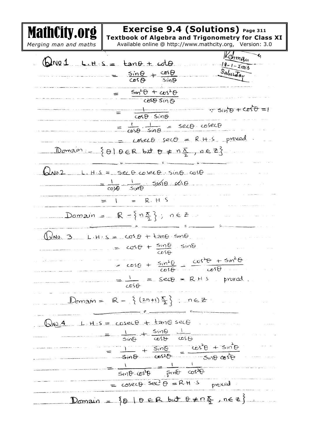MathCity.org **Exercise 9.4 (Solutions) Page 311 Textbook of Algebra and Trigonometry for Class XI** *Merging man and maths*  Available online @ http://www.mathcity.org, Version: 3.0 nma<sub>u</sub>  $QNQ1$  Lits =  $tan\theta + cot\theta$ .  $18 - 1 - 2003$ Salurada  $\frac{\sin\Theta}{\cos\Theta} + \frac{\cos\Theta}{\sin\Theta}$  $= \frac{sin^2\theta + cos^2\theta}{cos\theta sin\theta}$  $= \frac{1}{cos\theta sin\theta}$  $T \sin \theta + C \sin \theta = 1$  $=$   $\frac{1}{\cos\theta} \cdot \frac{1}{\sin\theta} = \frac{\sec\theta \cdot \csc\theta}{\cos\theta}$  $cose\theta$   $sec\theta = R + S$  proved. Domain  $\left\{\theta \mid \theta \in \mathbb{R} \text{ but } \theta \neq n\frac{\pi}{2}, n \in \mathbb{Z}\right\}$  $Q_{A02}$  L. H.S = sec 0 cosec 0. sing cuso  $\frac{1}{\cos\theta}$   $\frac{1}{\sin\theta}$   $\sin\theta$   $\cos\theta$  $= 1 = R.H.S$ Domain =  $R = \{ n \frac{\pi}{2} \}$ ;  $n \in Z$  $(\sqrt{10.3} - 1.4.5 = cos \theta + tan \theta sin \theta$  $cos\theta + \frac{sin\theta}{cos\theta}$  sing  $= \cos\theta + \frac{\sin^2\theta}{\cos\theta} = \frac{\cos^2\theta + \sin^2\theta}{\cos\theta}$  $= \frac{1}{cos\theta}$  =  $sec\theta$  =  $R$  H s proved.  $D_{om2}w = R - \{(\frac{2n+1}{2})\}, n \in \mathbb{Z}$  $Q_{N0}$ .4 L.H.S =  $coseCB + tan\theta$  sec  $\frac{1}{\theta \cos \theta} + \frac{\sin \theta}{\sin \theta} + \frac{1}{\sin \theta}$  $= \frac{1}{\sin\theta} + \frac{\sin\theta}{\cos^{2}\theta} = \frac{\cos^{2}\theta + \sin^{2}\theta}{\sin\theta \cos^{2}\theta}$  $= \frac{1}{5100 \cdot 6500} = \frac{1}{5100} = \frac{1}{6500}$ =  $cosec\theta$  see  $\theta$  = RH s  $pmcxd$ Domain =  $\{ \theta \mid \theta \in R \text{ but } \theta \neq n \frac{\pi}{2} \}$ , ne z}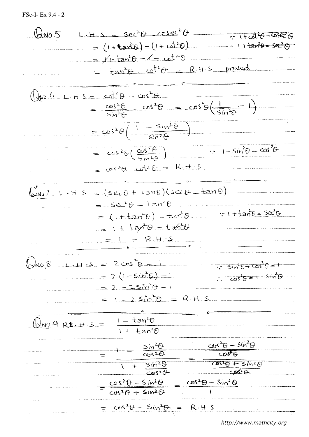$$
\sqrt{2}AD = L.H.S = Sec^2\theta - \cos 12\theta + \sin^2 2\theta + \sin^2 2\theta + \sin^2 2\theta - \sin^2 2\theta + \sin^2 2\theta - \sin^2 2\theta + \sin^2 2\theta - \sin^2 2\theta + \sin^2 2\theta - \sin^2 2\theta - \sin^2 2\theta - \sin^2 2\theta - \cos^2 2\theta - \cos^2 2\theta - \cos^2 2\theta - \cos^2 2\theta - \cos^2 2\theta - \cos^2 2\theta - \cos^2 2\theta - \cos^2 2\theta - \cos^2 2\theta - \cos^2 2\theta - \cos^2 2\theta - \cos^2 2\theta - \cos^2 2\theta - \cos^2 2\theta - \cos^2 2\theta - \cos^2 2\theta - \cos^2 2\theta - \cos^2 2\theta - \cos^2 2\theta - \cos^2 2\theta - \cos^2 2\theta - \cos^2 2\theta - \cos^2 2\theta - \cos^2 2\theta - \cos^2 2\theta - \cos^2 2\theta - \cos^2 2\theta - \cos^2 2\theta - \cos^2 2\theta - \cos^2 2\theta - \cos^2 2\theta - \cos^2 2\theta - \cos^2 2\theta - \cos^2 2\theta - \cos^2 2\theta - \cos^2 2\theta - \cos^2 2\theta - \cos^2 2\theta - \cos^2 2\theta - \cos^2 2\theta - \cos^2 2\theta - \cos^2 2\theta - \cos^2 2\theta - \cos^2 2\theta - \cos^2 2\theta - \cos^2 2\theta - \cos^2 2\theta - \cos^2 2\theta - \cos^2 2\theta - \cos^2 2\theta - \cos^2 2\theta - \cos^2 2\theta - \cos^2 2\theta - \cos^2 2\theta - \cos^2 2\theta - \cos^2 2\theta - \cos^2 2\theta - \cos^2 2\theta - \cos^2 2\theta - \cos^2 2\theta - \cos^2 2\theta - \cos^2 2\theta - \cos^2 2\theta - \cos^2 2\theta - \cos^2 2\theta - \cos^2 2\theta - \cos^2 2\theta - \cos^2 2\theta - \cos^2 2\theta - \cos^2 2
$$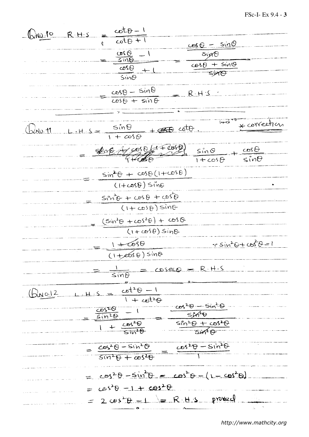$\frac{\sqrt{N\phi I^o}R.H.S}{e}\frac{\cot\theta-I}{\cot\theta+1}$  $cos \theta - sin \theta$  $\frac{cos\theta}{sin\theta} - 1$  $sin\theta$  $cos\theta + sin\theta$  $\overline{\cos\theta}$  $\frac{1}{\sin \theta}$  $\frac{cos\theta - sin\theta}{cos\theta + sin\theta}$  $R.H.S$ \* correct  $\frac{sin\theta}{1 + cos\theta}$  $+$   $450$  coto.  $\lambda$ NO. 11  $800470047000$  $\frac{\sin\theta}{1+\cos\theta}$  $rac{cos \theta}{sin \theta}$  $sin^2\theta + cos\theta(1+cos\theta)$  $\overline{(1+cos\theta)}$  sine  $SIM-B + cos\theta + cos\theta$  $(1 + \cos \theta) \sin \theta$  $(5\dot{w}^2\theta + \omega s^2\theta) + \omega s\theta$  $(1+\cos\theta)sin\theta$  $1 + 698$  $3.50 + 3.6 + 10.6 = 1$  $(1+\cos\theta)$  sino  $cosecQ = R \cdot H - S$  $\frac{1}{\leq m\theta}$  $\frac{cot^2\theta - 1}{1 + cot^2\theta}$  $(A_{N0.12})$  $cos^2\theta$  -  $sin^2\theta$  $rac{10520}{51020}$ **SIAO**  $\frac{sin^2\theta + cos^2\theta}{sin^2\theta}$  $rac{\cos^2\theta}{\sin^2\theta}$  $cos^2\theta - sin^2\theta$  $\frac{\cos^2\theta-Sin^2\theta}{1}$  $sin^2\theta + cos^2\theta$  $= cos^2\theta - sin^2\theta = cos^2\theta - (1 - cos^2\theta)$  $C(65^2\theta - 1 + C05^2\theta$  $2 \cos^2\theta - 1 = R + 2$  proved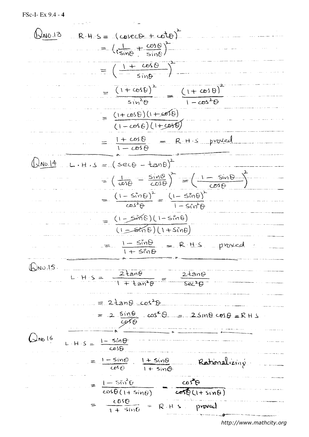FSc-I- Ex 9.4 - 4

 $\bigoplus_{10}13 R+5 = (cosecb+cbt)^2$  $= \left(\frac{1}{\sin\theta} + \frac{\cos\theta}{\sin\theta}\right)^2$  $= \left(\frac{1 + \cos \theta}{\sin \theta}\right)^2$ =  $\frac{(1 + \cos \theta)^2}{\sin^2 \theta}$  =  $\frac{(1 + \cos \theta)^2}{1 - \cos^2 \theta}$  $= \frac{(1+cos\theta)(1+cos\theta)}{(1-cos\theta)(1+cos\theta)}$  $= \frac{1 + \cos \theta}{1 - \cos \theta} = R + S \text{ provided}$  $L.H.S = (sec\theta - tan\theta)^2$  $12N0.14$  $= \left(\frac{1}{\cos \theta} - \frac{\sin \theta}{\cos \theta}\right)^2 = \left(\frac{1 - \sin \theta}{\cos \theta}\right)^2$  $=\frac{(1-\sin\theta)^2}{\cos^2\theta}=\frac{(1-\sin\theta)^2}{1-\sin^2\theta}$  $=$   $(1-5\pi 6)(1-5\pi 6)$ <br> $=$   $(1-5\pi 6)(1+5\pi 6)$  $I-S\ddot{v}\theta$  = R.H.S proved  $QNQ.15$ L H S =  $\frac{2\tan\theta}{1 + \tan^2\theta} = \frac{2\tan\theta}{\sec^2\theta}$  $= 2tan\theta$   $cos^2\theta$ =  $2 \sin \theta$   $\cos^2 \theta$  =  $2 \sin \theta \cos \theta$  = RHS  $Q_{\text{N0}}$  16  $L.H.S = \frac{1-sin\theta}{cosh}$  $= \frac{1-5in\Theta}{cosh}$ .  $\frac{1+5in\Theta}{1+5in\Theta}$ Rationalizine  $= \frac{1-5i\pi^2\theta}{cos\theta(1+sin\theta)} - \frac{cos^2\theta}{cos\theta(1+sin\theta)}$  $= \frac{cos\theta}{sin\theta} = R.H.S. proved$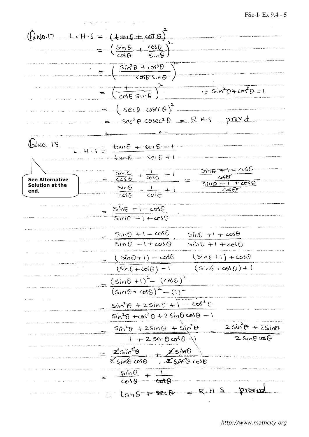## FSc-I- Ex 9.4 - **5**

 $\theta$ No.17 L.H.S =  $(4an\theta + \omega t \theta)^2$  $= -\left(\frac{\sin \theta}{\cos \theta} + \frac{\cos \theta}{\cos \theta}\right)^2$  $= \left( \frac{sin^2\theta + cos^2\theta}{cos^2\theta} \right)$  $\frac{1}{2}$  Sin<sup>2</sup> $0 + \frac{1}{2}$  $=$   $\left(\frac{1}{\cosh \sin \theta}\right)$ =  $(sec\theta-coc\theta)^2$  $SeC+BCO$   $=$   $R$  HS proved 21 18  $\frac{tan\theta + sec\theta - 1}{tan\theta - sec\theta + 1}$ SING TI  $\frac{\sin\theta}{\cos\theta} + \frac{1}{\cos\theta} - 1$ **See Alternative**   $5\overline{m}$ **Solution at the**   $\frac{\sin\theta}{\cos\theta} = \frac{1}{\cos\theta} + 1$ **end.**  $\frac{Sine + 1 - cos\theta}{sin\theta - 1 + cos\theta}$  $\frac{Sin\theta + 1 - cos\theta}{Sin\theta - 1 + cos\theta}$  $Sin\theta$  +1 +  $cos\theta$  $sin\theta + 1 + cos\theta$  $(sin \theta + 1) - cos \theta$  $(Sin0+1) + cos0$  $(sinC+cos C)+1$  $\sqrt{(sin\theta + cos\theta) - 1}$  $\frac{(sin 6 + 1)^2 - (cos 6)^2}{(sin 0 + cos 6)^2 - (1)^2}$  $sin^2\theta + 2sin\theta + 1 - cos^2\theta$  $sin^2\theta + cos^2\theta + 2sin\theta cos\theta - 1$  $2 \sin^2 \theta + 2 \sin \theta$  $\frac{s_1s_2\theta + 2sin\theta + sin^2\theta}{1 + 2sin\theta cos\theta + 1}$  $2$  Sine  $\omega$ e  $=\frac{2sin^2\theta}{2sin\theta cos\theta}+\frac{2sin\theta}{2sin\theta cos\theta}$  $\frac{5\dot{m}\theta}{cos\theta} + \frac{1}{cos\theta}$ =  $tan\theta$  + sec B = R.H.S proved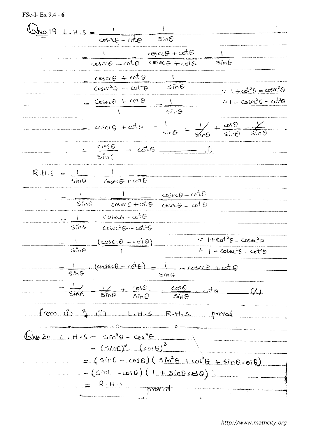FSc-I- Ex 9.4 - 6

 $\frac{1}{\cos(\theta - \cot \theta)}$  $Sim<sub>9</sub>$  $cos\theta + cot\theta$  $cosec\theta = cot\theta$  $\overline{\mathsf{s}}$ in $\overline{\mathbb{G}}$  $CoseC + cotG$  $=\frac{cosec\theta + cot\theta}{coset^2\theta - cot^2\theta}$  $\therefore$   $1 + \omega^2 \theta = \cos \alpha^2 \theta$  $= \frac{Cosec\theta + cot\theta}{1} = \frac{1}{sin\theta}$  $\therefore I = \csc^2 \theta - \cot^2 \theta$  $rac{cos\theta}{sin\theta}$  $= cosecg + cde$ .  $\frac{1}{2\sqrt{2}}$  $\frac{1}{\sin\theta}$  $=\frac{cos\theta}{sin\theta} = cot\theta$  $R_1H.S = \frac{1}{sin\theta}$  $\frac{1}{\csc\theta + \cot\theta}$  $coseC - cotG$  $\frac{1}{5.58}$  $cose \theta + \omega t \theta$  $cosei\theta - cot\theta$  $=$   $\frac{1}{\sin\theta}$   $\frac{\csc\theta - \cot\theta}{\cos\theta - \sin\theta}$  $CoseC^2G-G1^2G$  $\therefore$   $1 + \cot^2 \theta = \csc^2 \theta$  $\frac{1}{5ine}$   $\frac{(cosec\theta - cot\theta)}{1}$  $1 - 3500 = 1$  $=\frac{1}{\sin\theta}$   $-(\csc\theta - \cot\theta) = \frac{1}{\sin\theta}$   $\csc\theta + \omega t$  $=$   $\frac{1}{\sin\theta}$   $\frac{1}{\sin\theta}$  +  $\frac{\cos\theta}{\sin\theta}$  =  $\frac{\cos\theta}{\sin\theta}$  =  $\cot\theta$  $\hat{\mathcal{L}}_{(1)}^{\mathfrak{e}}$  $f$ rom  $\sqrt{g}$   $\sqrt{g}$   $\sqrt{g}$   $\sqrt{g}$   $\sqrt{g}$   $\sqrt{g}$   $\sqrt{g}$   $\sqrt{g}$   $\sqrt{g}$   $\sqrt{g}$   $\sqrt{g}$   $\sqrt{g}$   $\sqrt{g}$   $\sqrt{g}$   $\sqrt{g}$   $\sqrt{g}$  $\int$ We  $2e$  L. H.S =  $\sin^3\theta - \cos^3\theta$  $= (sin\theta)^3 - (cos\theta)^3$  $(g_{10}\circ g_{11}\circ g_{20} + g_{00}^{2}\circ g_{11}\circ g_{10} + g_{01}\circ g_{11}\circ g_{11}\circ g_{11}\circ g_{11}\circ g_{11}\circ g_{11}\circ g_{11}\circ g_{11}\circ g_{11}\circ g_{11}\circ g_{11}\circ g_{11}\circ g_{11}\circ g_{11}\circ g_{11}\circ g_{11}\circ g_{11}\circ g_{11}\circ g_{11}\circ g_{11}\circ g_{11}\circ g_{11}\circ g_{11}\circ g_{11}\circ g_{11}\circ g_{11}\circ g_{11}\circ g_{11}\circ g_{11}\circ g$  $(0 \text{ to } 1) (0 \text{ to } 1)$  $R.H.S.$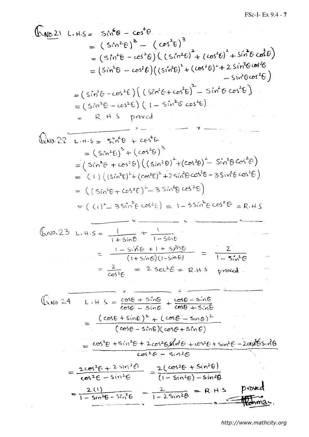$$
\int_{-\infty}^{\infty} \sqrt{16 \cdot 21} \cdot 1.45 = 5\sqrt[4]{6} - 65^{\circ} \cdot 6
$$
\n
$$
= (5\sqrt[4]{6} - 65^{\circ} \cdot 6) \cdot 6\sqrt[4]{6} - 65^{\circ} \cdot 6 \cdot 6\sqrt[4]{6} - 65^{\circ} \cdot 6 \cdot 6\sqrt[4]{6} - 65^{\circ} \cdot 6 \cdot 6\sqrt[4]{6} - 65^{\circ} \cdot 6 \cdot 6\sqrt[4]{6} - 65^{\circ} \cdot 6 \cdot 6\sqrt[4]{6} - 65^{\circ} \cdot 6 \cdot 6\sqrt[4]{6} - 65^{\circ} \cdot 6 \cdot 6\sqrt[4]{6} - 65^{\circ} \cdot 6 \cdot 6\sqrt[4]{6} - 65^{\circ} \cdot 6 \cdot 6\sqrt[4]{6} - 65^{\circ} \cdot 6 \cdot 6\sqrt[4]{6} - 65^{\circ} \cdot 6 \cdot 6\sqrt[4]{6} - 65^{\circ} \cdot 6 \cdot 6\sqrt[4]{6} - 65^{\circ} \cdot 6 \cdot 6\sqrt[4]{6} - 65^{\circ} \cdot 6 \cdot 6\sqrt[4]{6} - 65^{\circ} \cdot 6 \cdot 6\sqrt[4]{6} - 65^{\circ} \cdot 6 \cdot 6\sqrt[4]{6} - 65^{\circ} \cdot 6\sqrt[4]{6} - 65^{\circ} \cdot 6\sqrt[4]{6} - 65^{\circ} \cdot 6\sqrt[4]{6} - 65^{\circ} \cdot 6\sqrt[4]{6} - 65^{\circ} \cdot 6\sqrt[4]{6} - 65^{\circ} \cdot 6\sqrt[4]{6} - 65^{\circ} \cdot 6\sqrt[4]{6} - 65^{\circ} \cdot 6\sqrt[4]{6} - 65^{\circ} \cdot 6\sqrt[4]{6} - 65^{\circ} \cdot 6\sqrt[4]{6} - 65^{\circ} \cdot 6\sqrt[4]{6} - 65^{\circ} \cdot 6\sqrt[4]{6} - 65^{\circ} \cdot 6\sqrt[4]{6} - 65^{\circ} \cdot 6\sqrt[4]{6} - 65^{\circ} \cdot 6\sqrt[4]{6} - 65^{\circ} \cdot
$$

 $\overline{\phantom{a}}$ 

i.